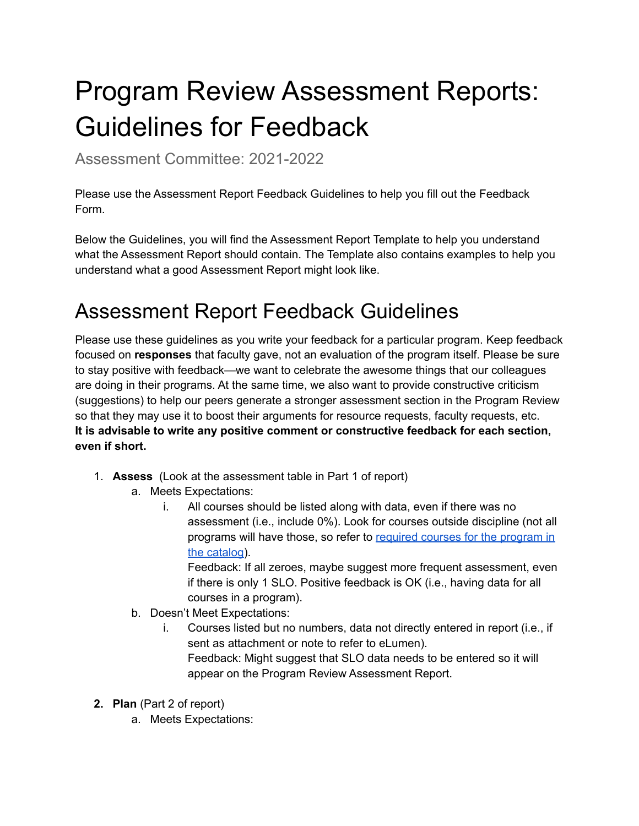# Program Review Assessment Reports: Guidelines for Feedback

Assessment Committee: 2021-2022

Please use the Assessment Report Feedback Guidelines to help you fill out the Feedback Form.

Below the Guidelines, you will find the Assessment Report Template to help you understand what the Assessment Report should contain. The Template also contains examples to help you understand what a good Assessment Report might look like.

## Assessment Report Feedback Guidelines

Please use these guidelines as you write your feedback for a particular program. Keep feedback focused on **responses** that faculty gave, not an evaluation of the program itself. Please be sure to stay positive with feedback—we want to celebrate the awesome things that our colleagues are doing in their programs. At the same time, we also want to provide constructive criticism (suggestions) to help our peers generate a stronger assessment section in the Program Review so that they may use it to boost their arguments for resource requests, faculty requests, etc. **It is advisable to write any positive comment or constructive feedback for each section, even if short.**

- 1. **Assess** (Look at the assessment table in Part 1 of report)
	- a. Meets Expectations:
		- i. All courses should be listed along with data, even if there was no assessment (i.e., include 0%). Look for courses outside discipline (not all [program](https://bakersfield.elumenapp.com/catalog/2021-2022/aboutbc)s will have those, so refer to required courses for the program in the [catalog\)](https://bakersfield.elumenapp.com/catalog/2021-2022/aboutbc).

Feedback: If all zeroes, maybe suggest more frequent assessment, even if there is only 1 SLO. Positive feedback is OK (i.e., having data for all courses in a program).

- b. Doesn't Meet Expectations:
	- i. Courses listed but no numbers, data not directly entered in report (i.e., if sent as attachment or note to refer to eLumen). Feedback: Might suggest that SLO data needs to be entered so it will appear on the Program Review Assessment Report.
- **2. Plan** (Part 2 of report)
	- a. Meets Expectations: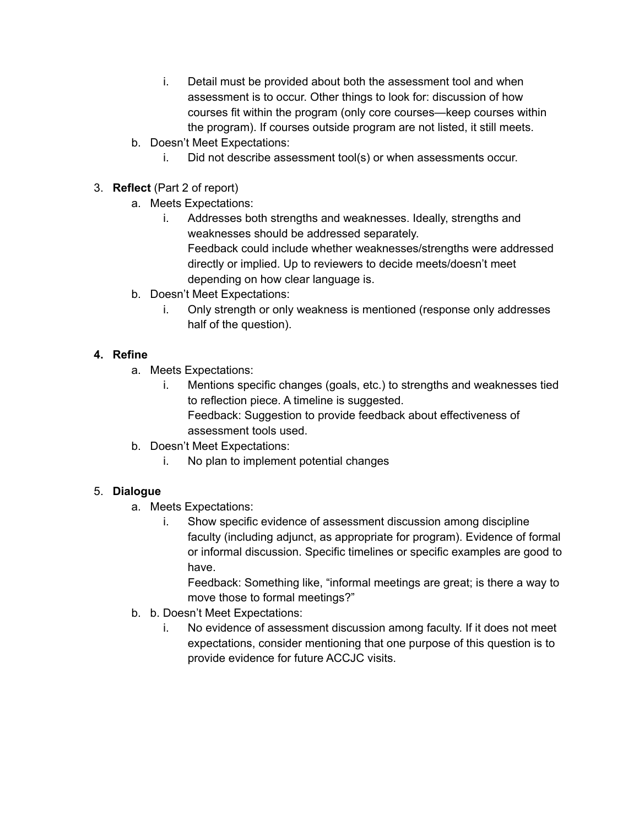- i. Detail must be provided about both the assessment tool and when assessment is to occur. Other things to look for: discussion of how courses fit within the program (only core courses—keep courses within the program). If courses outside program are not listed, it still meets.
- b. Doesn't Meet Expectations:
	- i. Did not describe assessment tool(s) or when assessments occur.
- 3. **Reflect** (Part 2 of report)
	- a. Meets Expectations:
		- i. Addresses both strengths and weaknesses. Ideally, strengths and weaknesses should be addressed separately. Feedback could include whether weaknesses/strengths were addressed directly or implied. Up to reviewers to decide meets/doesn't meet depending on how clear language is.
	- b. Doesn't Meet Expectations:
		- i. Only strength or only weakness is mentioned (response only addresses half of the question).

### **4. Refine**

- a. Meets Expectations:
	- i. Mentions specific changes (goals, etc.) to strengths and weaknesses tied to reflection piece. A timeline is suggested. Feedback: Suggestion to provide feedback about effectiveness of assessment tools used.
- b. Doesn't Meet Expectations:
	- i. No plan to implement potential changes

### 5. **Dialogue**

- a. Meets Expectations:
	- i. Show specific evidence of assessment discussion among discipline faculty (including adjunct, as appropriate for program). Evidence of formal or informal discussion. Specific timelines or specific examples are good to have.

Feedback: Something like, "informal meetings are great; is there a way to move those to formal meetings?"

- b. b. Doesn't Meet Expectations:
	- i. No evidence of assessment discussion among faculty. If it does not meet expectations, consider mentioning that one purpose of this question is to provide evidence for future ACCJC visits.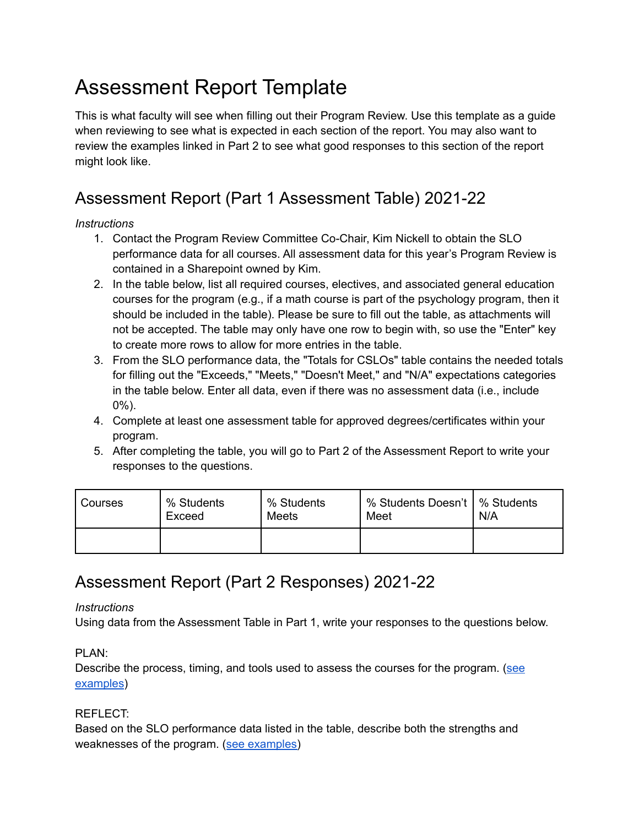# Assessment Report Template

This is what faculty will see when filling out their Program Review. Use this template as a guide when reviewing to see what is expected in each section of the report. You may also want to review the examples linked in Part 2 to see what good responses to this section of the report might look like.

### Assessment Report (Part 1 Assessment Table) 2021-22

### *Instructions*

- 1. Contact the Program Review Committee Co-Chair, Kim Nickell to obtain the SLO performance data for all courses. All assessment data for this year's Program Review is contained in a Sharepoint owned by Kim.
- 2. In the table below, list all required courses, electives, and associated general education courses for the program (e.g., if a math course is part of the psychology program, then it should be included in the table). Please be sure to fill out the table, as attachments will not be accepted. The table may only have one row to begin with, so use the "Enter" key to create more rows to allow for more entries in the table.
- 3. From the SLO performance data, the "Totals for CSLOs" table contains the needed totals for filling out the "Exceeds," "Meets," "Doesn't Meet," and "N/A" expectations categories in the table below. Enter all data, even if there was no assessment data (i.e., include 0%).
- 4. Complete at least one assessment table for approved degrees/certificates within your program.
- 5. After completing the table, you will go to Part 2 of the Assessment Report to write your responses to the questions.

| Courses | % Students<br>Exceed | % Students<br>Meets | % Students Doesn't   % Students<br>Meet | N/A |
|---------|----------------------|---------------------|-----------------------------------------|-----|
|         |                      |                     |                                         |     |

### Assessment Report (Part 2 Responses) 2021-22

### *Instructions*

Using data from the Assessment Table in Part 1, write your responses to the questions below.

### PLAN:

Describe the process, timing, and tools used to assess the courses for the program. ([see](https://committees.kccd.edu/sites/committees.kccd.edu/files/AssessmentReport-Plan.pdf) [examples](https://committees.kccd.edu/sites/committees.kccd.edu/files/AssessmentReport-Plan.pdf))

### REFLECT:

Based on the SLO performance data listed in the table, describe both the strengths and weaknesses of the program. (see [examples\)](https://committees.kccd.edu/sites/committees.kccd.edu/files/AssessmentReport-Reflect.pdf)